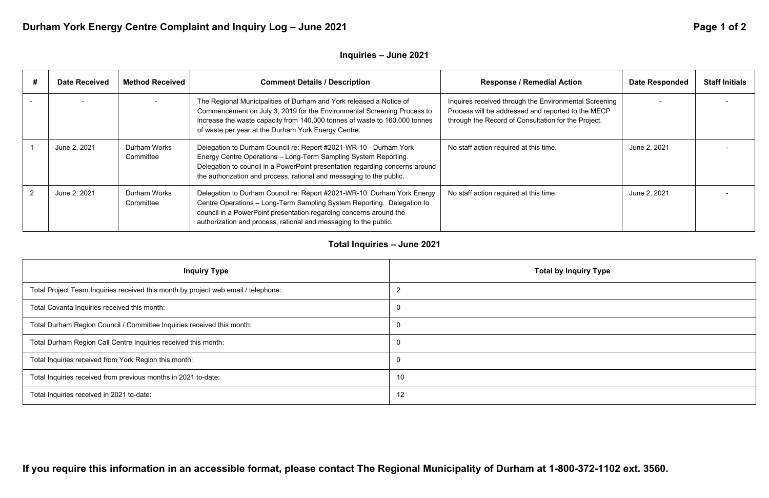### **Inquiry Type**

# Durham York Energy Centre Complaint and Inquiry Log - June 2021 **Page 1 of 2 and 2021** Page 1 of 2

### **Inquiries – June 2021**

| <b>Date Received</b> | <b>Method Received</b>    | <b>Comment Details / Description</b>                                                                                                                                                                                                                                                         | <b>Response / Remedial Action</b>                                                                                                                                  | <b>Date Responded</b> | <b>Staff Initials</b> |
|----------------------|---------------------------|----------------------------------------------------------------------------------------------------------------------------------------------------------------------------------------------------------------------------------------------------------------------------------------------|--------------------------------------------------------------------------------------------------------------------------------------------------------------------|-----------------------|-----------------------|
|                      |                           | The Regional Municipalities of Durham and York released a Notice of<br>Commencement on July 3, 2019 for the Environmental Screening Process to<br>increase the waste capacity from 140,000 tonnes of waste to 160,000 tonnes<br>of waste per year at the Durham York Energy Centre.          | Inquires received through the Environmental Screening<br>Process will be addressed and reported to the MECP<br>through the Record of Consultation for the Project. |                       |                       |
| June 2, 2021         | Durham Works<br>Committee | Delegation to Durham Council re: Report #2021-WR-10 - Durham York<br>Energy Centre Operations - Long-Term Sampling System Reporting.<br>Delegation to council in a PowerPoint presentation regarding concerns around<br>the authorization and process, rational and messaging to the public. | No staff action required at this time.                                                                                                                             | June 2, 2021          |                       |
| June 2, 2021         | Durham Works<br>Committee | Delegation to Durham Council re: Report #2021-WR-10: Durham York Energy<br>Centre Operations - Long-Term Sampling System Reporting. Delegation to<br>council in a PowerPoint presentation regarding concerns around the<br>authorization and process, rational and messaging to the public.  | No staff action required at this time.                                                                                                                             | June 2, 2021          |                       |

## **Total Inquiries – June 2021**

| <b>Inquiry Type</b>                                                                | Total by       |
|------------------------------------------------------------------------------------|----------------|
| Total Project Team Inquiries received this month by project web email / telephone: | $\overline{2}$ |
| Total Covanta Inquiries received this month:                                       | $\overline{0}$ |
| Total Durham Region Council / Committee Inquiries received this month:             | $\overline{0}$ |
| Total Durham Region Call Centre Inquiries received this month:                     | $\overline{0}$ |
| Total Inquiries received from York Region this month:                              | $\overline{0}$ |
| Total Inquiries received from previous months in 2021 to-date:                     | 10             |
| Total Inquiries received in 2021 to-date:                                          | 12             |